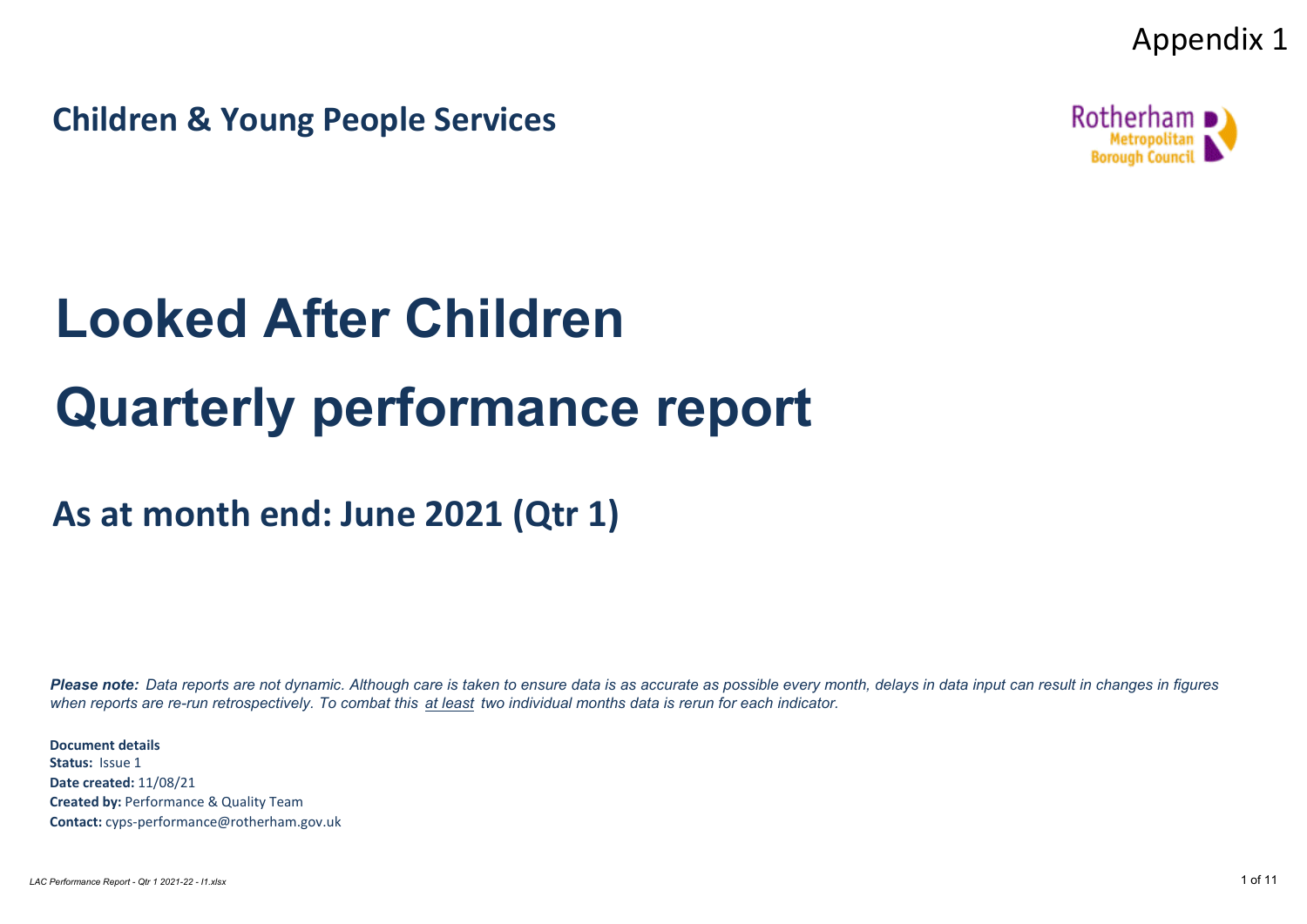Appendix 1

**Children & Young People Services**



# **Looked After Children Quarterly performance report**

**As at month end: June 2021 (Qtr 1)**

*Please note: Data reports are not dynamic. Although care is taken to ensure data is as accurate as possible every month, delays in data input can result in changes in figures when reports are re-run retrospectively. To combat this at least two individual months data is rerun for each indicator.*

**Document details Status:** Issue 1 **Date created:** 11/08/21 **Created by:** Performance & Quality Team **Contact:** cyps-performance@rotherham.gov.uk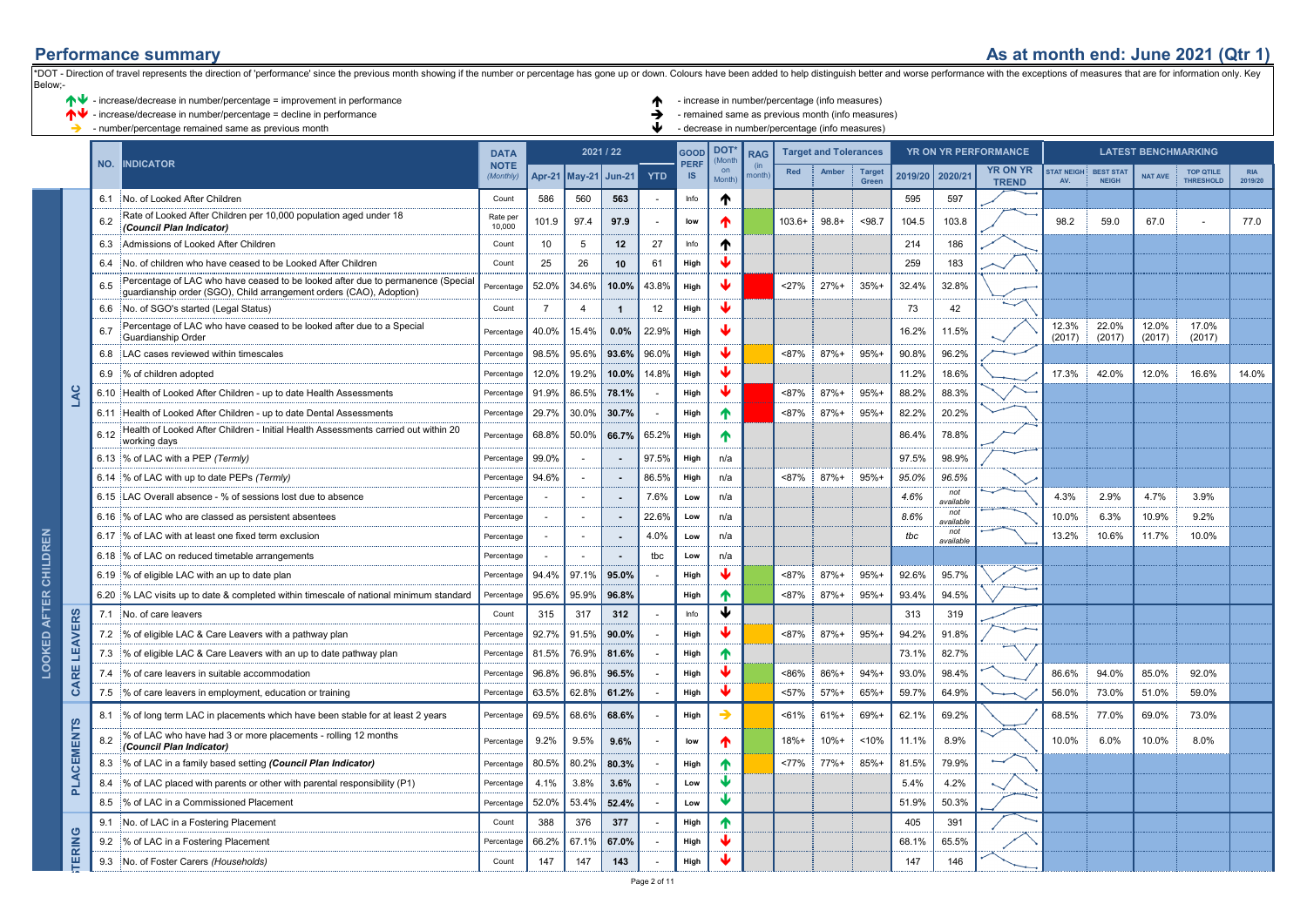### **Performance summary As at month end: June 2021 (Qtr 1)**

|                              | $\blacklozenge \blacklozenge$ - increase/decrease in number/percentage = improvement in performance<br>∧₩<br>- increase/decrease in number/percentage = decline in performance<br>- number/percentage remained same as previous month |                         |                                                                                                                                                        |                                         |                |                |                                          |       |                                  |                                   |                            |          | - increase in number/percentage (info measures)<br>- remained same as previous month (info measures)<br>- decrease in number/percentage (info measures |         |                                            |                  |                                 |                         |                                  |                                              |                                      |                       |
|------------------------------|---------------------------------------------------------------------------------------------------------------------------------------------------------------------------------------------------------------------------------------|-------------------------|--------------------------------------------------------------------------------------------------------------------------------------------------------|-----------------------------------------|----------------|----------------|------------------------------------------|-------|----------------------------------|-----------------------------------|----------------------------|----------|--------------------------------------------------------------------------------------------------------------------------------------------------------|---------|--------------------------------------------|------------------|---------------------------------|-------------------------|----------------------------------|----------------------------------------------|--------------------------------------|-----------------------|
|                              |                                                                                                                                                                                                                                       | NO.<br><b>INDICATOR</b> |                                                                                                                                                        | <b>DATA</b><br><b>NOTE</b><br>(Monthly) | Apr-21         |                | 2021 / 22<br>May-21 Jun-21<br><b>YTD</b> |       | GOOD<br><b>PERF</b><br><b>IS</b> | <b>DOT</b><br>Mont<br>on<br>Month | <b>RAG</b><br>(in<br>nonth | Red      | <b>Target and Tolerances</b><br>Amber<br>Target<br>Green                                                                                               |         | YR ON YR PERFORMANCE<br>2019/20<br>2020/21 |                  | <b>YR ON YR</b><br><b>TREND</b> | <b>STAT NEIGH</b><br>AV | <b>BEST STAT</b><br><b>NEIGH</b> | <b>LATEST BENCHMARKING</b><br><b>NAT AVE</b> | <b>TOP QTILE</b><br><b>THRESHOLD</b> | <b>RIA</b><br>2019/20 |
|                              |                                                                                                                                                                                                                                       | 6.1                     | No. of Looked After Children                                                                                                                           | Count                                   | 586            | 560            | 563                                      |       | Info                             | ↑                                 |                            |          |                                                                                                                                                        |         | 595                                        | 597              |                                 |                         |                                  |                                              |                                      |                       |
|                              |                                                                                                                                                                                                                                       | 6.2                     | Rate of Looked After Children per 10,000 population aged under 18<br>(Council Plan Indicator)                                                          | Rate per<br>10,000                      | 101.9          | 97.4           | 97.9                                     |       | low                              | A                                 |                            | $103.6+$ | $98.8+$                                                                                                                                                | < 98.7  | 104.5                                      | 103.8            |                                 | 98.2                    | 59.0                             | 67.0                                         |                                      | 77.0                  |
|                              |                                                                                                                                                                                                                                       | 6.3                     | Admissions of Looked After Children                                                                                                                    | Count                                   | 10             | 5              | 12                                       | 27    | Info                             | ተ                                 |                            |          |                                                                                                                                                        |         | 214                                        | 186              |                                 |                         |                                  |                                              |                                      |                       |
|                              |                                                                                                                                                                                                                                       | 6.4                     | No. of children who have ceased to be Looked After Children                                                                                            | Count                                   | 25             | 26             | 10                                       | 61    | High                             |                                   |                            |          |                                                                                                                                                        |         | 259                                        | 183              |                                 |                         |                                  |                                              |                                      |                       |
|                              |                                                                                                                                                                                                                                       | 6.5                     | Percentage of LAC who have ceased to be looked after due to permanence (Special<br>guardianship order (SGO), Child arrangement orders (CAO), Adoption) | Percentag                               | 52.0%          | 34.6%          | 10.0%                                    | 43.8% | High                             |                                   |                            | 27%      | $27%+$                                                                                                                                                 | 35%     | 32.4%                                      | 32.8%            |                                 |                         |                                  |                                              |                                      |                       |
|                              |                                                                                                                                                                                                                                       | 6.6                     | No. of SGO's started (Legal Status)                                                                                                                    | Count                                   | $\overline{7}$ | $\overline{4}$ | $\overline{1}$                           | 12    | High                             |                                   |                            |          |                                                                                                                                                        |         | 73                                         | 42               |                                 |                         |                                  |                                              |                                      |                       |
|                              |                                                                                                                                                                                                                                       | 6.7                     | Percentage of LAC who have ceased to be looked after due to a Special<br>Guardianship Order                                                            | Percentage                              | 40.0%          | 15.4%          | 0.0%                                     | 22.9% | High                             |                                   |                            |          |                                                                                                                                                        |         | 16.2%                                      | 11.5%            |                                 | 12.3%<br>(2017)         | 22.0%<br>(2017)                  | 12.0%<br>(2017)                              | 17.0%<br>(2017)                      |                       |
|                              |                                                                                                                                                                                                                                       | 6.8                     | LAC cases reviewed within timescales                                                                                                                   | Percenta                                | 98.5%          | 95.6%          | 93.6%                                    | 96.0% | High                             |                                   |                            | < 87%    | $87%+$                                                                                                                                                 | $95%+$  | 90.8%                                      | 96.2%            |                                 |                         |                                  |                                              |                                      |                       |
|                              |                                                                                                                                                                                                                                       | 6.9                     | % of children adopted                                                                                                                                  | Percentage                              | 12.0%          | 19.2%          | 10.0%                                    | 14.8% | High                             |                                   |                            |          |                                                                                                                                                        |         | 11.2%                                      | 18.6%            |                                 | 17.3%                   | 42.0%                            | 12.0%                                        | 16.6%                                | 14.0%                 |
|                              | LAC                                                                                                                                                                                                                                   | 6.10                    | Health of Looked After Children - up to date Health Assessments                                                                                        | Percentag                               | 91.9%          | 86.5%          | 78.1%                                    |       | High                             |                                   |                            | <87%     | $87%+$                                                                                                                                                 | 95%     | 88.2%                                      | 88.3%            |                                 |                         |                                  |                                              |                                      |                       |
|                              |                                                                                                                                                                                                                                       | 6.11                    | Health of Looked After Children - up to date Dental Assessments                                                                                        | Percentage                              | 29.7%          | 30.0%          | 30.7%                                    |       | High                             | ሳ                                 |                            | <87%     | 87%+                                                                                                                                                   | $95% -$ | 82.2%                                      | 20.2%            |                                 |                         |                                  |                                              |                                      |                       |
|                              |                                                                                                                                                                                                                                       | 6.12                    | Health of Looked After Children - Initial Health Assessments carried out within 20<br>working days                                                     | Percentage                              | 68.8%          | 50.0%          | 66.7%                                    | 65.2% | High                             | ᠰ                                 |                            |          |                                                                                                                                                        |         | 86.4%                                      | 78.8%            |                                 |                         |                                  |                                              |                                      |                       |
|                              |                                                                                                                                                                                                                                       |                         | 6.13 % of LAC with a PEP (Termly)                                                                                                                      | Percentage                              | 99.0%          | $\sim$         | $\overline{\phantom{a}}$                 | 97.5% | High                             | n/a                               |                            |          |                                                                                                                                                        |         | 97.5%                                      | 98.9%            |                                 |                         |                                  |                                              |                                      |                       |
|                              |                                                                                                                                                                                                                                       |                         | 6.14 % of LAC with up to date PEPs (Termly)                                                                                                            | Percentage                              | 94.6%          | ÷.             | $\overline{\phantom{a}}$                 | 86.5% | High                             | n/a                               |                            | <87%     | $87%+$                                                                                                                                                 | $95%+$  | 95.0%                                      | 96.5%            |                                 |                         |                                  |                                              |                                      |                       |
|                              |                                                                                                                                                                                                                                       | 6.15                    | LAC Overall absence - % of sessions lost due to absence                                                                                                | Percentage                              |                | ÷.             | ٠.                                       | 7.6%  | Low                              | n/a                               |                            |          |                                                                                                                                                        |         | 4.6%                                       | not<br>available |                                 | 4.3%                    | 2.9%                             | 4.7%                                         | 3.9%                                 |                       |
|                              |                                                                                                                                                                                                                                       | 6.16                    | % of LAC who are classed as persistent absentees                                                                                                       | Percentage                              |                |                |                                          | 22.6% | Low                              | n/a                               |                            |          |                                                                                                                                                        |         | 8.6%                                       | not<br>available |                                 | 10.0%                   | 6.3%                             | 10.9%                                        | 9.2%                                 |                       |
|                              |                                                                                                                                                                                                                                       | 6.17                    | % of LAC with at least one fixed term exclusion                                                                                                        | Percentage                              |                | $\sim$         | $\overline{\phantom{a}}$                 | 4.0%  | Low                              | n/a                               |                            |          |                                                                                                                                                        |         | tbc                                        | not<br>available |                                 | 13.2%                   | 10.6%                            | 11.7%                                        | 10.0%                                |                       |
|                              |                                                                                                                                                                                                                                       |                         | 6.18 % of LAC on reduced timetable arrangements                                                                                                        | Percentage                              |                | $\overline{a}$ | ٠.                                       | tbc   | Low                              | n/a                               |                            |          |                                                                                                                                                        |         |                                            |                  |                                 |                         |                                  |                                              |                                      |                       |
|                              |                                                                                                                                                                                                                                       |                         | 6.19 % of eligible LAC with an up to date plan                                                                                                         | Percentage                              | 94.4%          | 97.1%          | 95.0%                                    |       | High                             |                                   |                            | < 87%    | 87%+                                                                                                                                                   | $95%+$  | 92.6%                                      | 95.7%            |                                 |                         |                                  |                                              |                                      |                       |
|                              |                                                                                                                                                                                                                                       | 6.20                    | % LAC visits up to date & completed within timescale of national minimum standard                                                                      | Percentag                               | 95.6%          | 95.9%          | 96.8%                                    |       | High                             | ኍ                                 |                            | <87%     | 87%+                                                                                                                                                   | $95%+$  | 93.4%                                      | 94.5%            |                                 |                         |                                  |                                              |                                      |                       |
| <b>LOOKED AFTER CHILDREN</b> |                                                                                                                                                                                                                                       | 7.1                     | No. of care leavers                                                                                                                                    | Count                                   | 315            | 317            | 312                                      |       | Info                             | ₩                                 |                            |          |                                                                                                                                                        |         | 313                                        | 319              |                                 |                         |                                  |                                              |                                      |                       |
|                              | <b>LEAVERS</b>                                                                                                                                                                                                                        | 7.2                     | % of eligible LAC & Care Leavers with a pathway plan                                                                                                   | Percentag                               | 92.7%          | 91.5%          | 90.0%                                    |       | High                             |                                   |                            | < 87%    | $87%+$                                                                                                                                                 | $95%+$  | 94.2%                                      | 91.8%            |                                 |                         |                                  |                                              |                                      |                       |
|                              |                                                                                                                                                                                                                                       | 7.3                     | % of eligible LAC & Care Leavers with an up to date pathway plan                                                                                       | Percentage                              | 81.5%          | 76.9%          | 81.6%                                    |       | High                             | ᠰ                                 |                            |          |                                                                                                                                                        |         | 73.1%                                      | 82.7%            |                                 |                         |                                  |                                              |                                      |                       |
|                              | CARE                                                                                                                                                                                                                                  | 7.4                     | % of care leavers in suitable accommodation                                                                                                            | Percentag                               | 96.8%          | 96.8%          | 96.5%                                    |       | High                             |                                   |                            | <86%     | 86%+                                                                                                                                                   | 94%     | 93.0%                                      | 98.4%            |                                 | 86.6%                   | 94.0%                            | 85.0%                                        | 92.0%                                |                       |
|                              |                                                                                                                                                                                                                                       | 7.5                     | % of care leavers in employment, education or training                                                                                                 | Percentage                              | 63.5%          | 62.8%          | 61.2%                                    |       | High                             | J                                 |                            | < 57%    | 57%+                                                                                                                                                   | 65%+    | 59.7%                                      | 64.9%            |                                 | 56.0%                   | 73.0%                            | 51.0%                                        | 59.0%                                |                       |
|                              |                                                                                                                                                                                                                                       | 8.1                     | % of long term LAC in placements which have been stable for at least 2 years                                                                           | Percentage                              | 69.5%          | 68.6%          | 68.6%                                    |       | High                             |                                   |                            | < 61%    | 61%                                                                                                                                                    | 69%     | 62.1%                                      | 69.2%            |                                 | 68.5%                   | 77.0%                            | 69.0%                                        | 73.0%                                |                       |
|                              | PLACEMENTS                                                                                                                                                                                                                            | 8.2                     | % of LAC who have had 3 or more placements - rolling 12 months<br>(Council Plan Indicator)                                                             | Percentage                              | 9.2%           | 9.5%           | 9.6%                                     |       | low                              | Æ                                 |                            | $18% +$  | $10% +$                                                                                                                                                | < 10%   | 11.1%                                      | 8.9%             |                                 | 10.0%                   | 6.0%                             | 10.0%                                        | 8.0%                                 |                       |
|                              |                                                                                                                                                                                                                                       | 8.3                     | % of LAC in a family based setting (Council Plan Indicator)                                                                                            | Percentag                               | 80.5%          | 80.2%          | 80.3%                                    |       | High                             | ሳ                                 |                            | <77%     | 77%+                                                                                                                                                   | 85%+    | 81.5%                                      | 79.9%            |                                 |                         |                                  |                                              |                                      |                       |
|                              |                                                                                                                                                                                                                                       | 8.4                     | % of LAC placed with parents or other with parental responsibility (P1)                                                                                | Percentage                              | 4.1%           | 3.8%           | 3.6%                                     |       | Low                              |                                   |                            |          |                                                                                                                                                        |         | 5.4%                                       | 4.2%             |                                 |                         |                                  |                                              |                                      |                       |
|                              |                                                                                                                                                                                                                                       | 8.5                     | % of LAC in a Commissioned Placement                                                                                                                   | Percentag                               | 52.0%          | 53.4%          | 52.4%                                    |       | Low                              |                                   |                            |          |                                                                                                                                                        |         | 51.9%                                      | 50.3%            |                                 |                         |                                  |                                              |                                      |                       |
|                              |                                                                                                                                                                                                                                       | 9.1                     | No. of LAC in a Fostering Placement                                                                                                                    | Count                                   | 388            | 376            | 377                                      |       | High                             | ሳ                                 |                            |          |                                                                                                                                                        |         | 405                                        | 391              |                                 |                         |                                  |                                              |                                      |                       |
|                              | <b>TERING</b>                                                                                                                                                                                                                         | 9.2                     | % of LAC in a Fostering Placement                                                                                                                      | Percentar                               | 66.2%          | 67.1%          | 67.0%                                    |       | High                             | J                                 |                            |          |                                                                                                                                                        |         | 68.1%                                      | 65.5%            |                                 |                         |                                  |                                              |                                      |                       |
|                              |                                                                                                                                                                                                                                       | 9.3                     | No. of Foster Carers (Households)                                                                                                                      | Count                                   | 147            | 147            | 143                                      |       | High                             |                                   |                            |          |                                                                                                                                                        |         | 147                                        | 146              |                                 |                         |                                  |                                              |                                      |                       |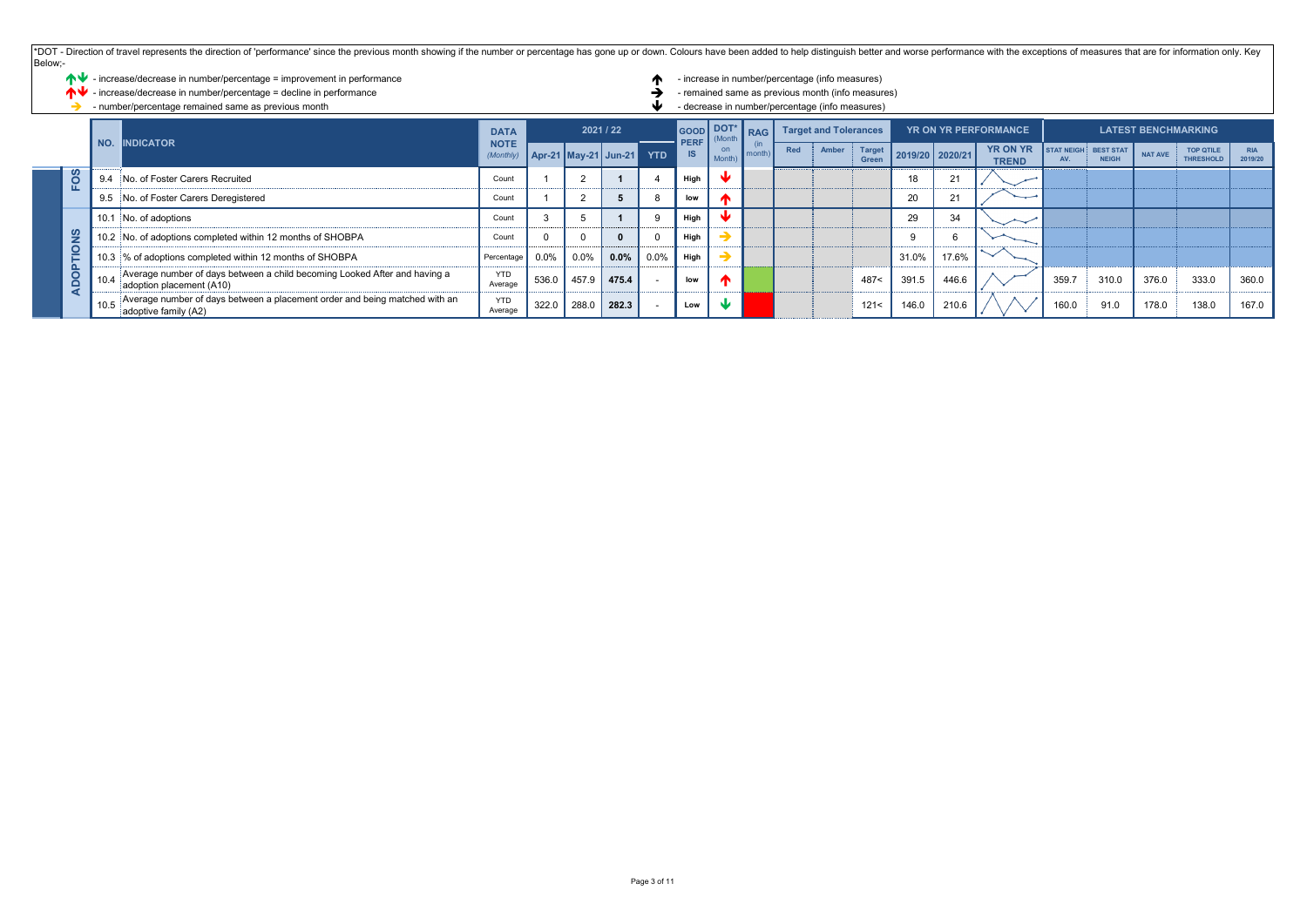| Below;-                 | *DOT - Direction of travel represents the direction of 'performance' since the previous month showing if the number or percentage has gone up or down. Colours have been added to help distinguish better and worse performanc |                                                                                                               |                            |           |       |                          |            |                          |                                                 |            |                              |                                                   |                 |       |                 |                                 |                            |                                  |                |                                      |                       |  |  |
|-------------------------|--------------------------------------------------------------------------------------------------------------------------------------------------------------------------------------------------------------------------------|---------------------------------------------------------------------------------------------------------------|----------------------------|-----------|-------|--------------------------|------------|--------------------------|-------------------------------------------------|------------|------------------------------|---------------------------------------------------|-----------------|-------|-----------------|---------------------------------|----------------------------|----------------------------------|----------------|--------------------------------------|-----------------------|--|--|
|                         | ↑↓ - increase/decrease in number/percentage = improvement in performance                                                                                                                                                       |                                                                                                               |                            |           |       |                          |            |                          |                                                 |            |                              | - increase in number/percentage (info measures)   |                 |       |                 |                                 |                            |                                  |                |                                      |                       |  |  |
|                         | - increase/decrease in number/percentage = decline in performance                                                                                                                                                              |                                                                                                               |                            |           |       |                          |            |                          |                                                 |            |                              | - remained same as previous month (info measures) |                 |       |                 |                                 |                            |                                  |                |                                      |                       |  |  |
|                         | - number/percentage remained same as previous month                                                                                                                                                                            |                                                                                                               |                            |           |       |                          |            |                          | - decrease in number/percentage (info measures) |            |                              |                                                   |                 |       |                 |                                 |                            |                                  |                |                                      |                       |  |  |
| NO.<br><b>INDICATOR</b> |                                                                                                                                                                                                                                |                                                                                                               | <b>DATA</b><br><b>NOTE</b> | 2021 / 22 |       |                          |            | GOOD DOT*<br><b>PERF</b> | (Mont)                                          | <b>RAG</b> | <b>Target and Tolerances</b> |                                                   |                 |       |                 | <b>YR ON YR PERFORMANCE</b>     | <b>LATEST BENCHMARKING</b> |                                  |                |                                      |                       |  |  |
|                         |                                                                                                                                                                                                                                |                                                                                                               |                            |           |       | Apr-21   May-21   Jun-21 | <b>YTD</b> | <b>IS</b>                | on<br>Month                                     | month      | Red                          | Amber                                             | Target<br>Green |       | 2019/20 2020/21 | <b>YR ON YR</b><br><b>TREND</b> | STAT NEIGH<br>AV.          | <b>BEST STAT</b><br><b>NEIGH</b> | <b>NAT AVE</b> | <b>TOP QTILE</b><br><b>THRESHOLD</b> | <b>RIA</b><br>2019/20 |  |  |
|                         | FOS                                                                                                                                                                                                                            | No. of Foster Carers Recruited<br>9.4                                                                         | Count                      |           |       |                          |            | High                     |                                                 |            |                              |                                                   |                 |       |                 |                                 |                            |                                  |                |                                      |                       |  |  |
|                         |                                                                                                                                                                                                                                | No. of Foster Carers Deregistered<br>9.5                                                                      | Count                      |           |       | n                        |            | low                      |                                                 |            |                              |                                                   |                 | 20    |                 | —                               |                            |                                  |                |                                      |                       |  |  |
|                         |                                                                                                                                                                                                                                | 10.1 No. of adoptions                                                                                         | Count                      |           |       |                          |            | High                     |                                                 |            |                              |                                                   |                 | 29    | 34              |                                 |                            |                                  |                |                                      |                       |  |  |
|                         | SN                                                                                                                                                                                                                             | 10.2 No. of adoptions completed within 12 months of SHOBPA                                                    | Count                      |           |       |                          |            | High                     |                                                 |            |                              |                                                   |                 |       |                 |                                 |                            |                                  |                |                                      |                       |  |  |
|                         | $\overline{\mathsf{P}}$                                                                                                                                                                                                        | 10.3 % of adoptions completed within 12 months of SHOBPA                                                      | Percentage                 | 0.0%      | 0.0%  | 0.0%                     | 0.0%       | High                     |                                                 |            |                              |                                                   |                 | 31.0% | 17.6%           |                                 |                            |                                  |                |                                      |                       |  |  |
|                         | O<br>Ř                                                                                                                                                                                                                         | Average number of days between a child becoming Looked After and having a<br>10.4<br>adoption placement (A10) | <b>YTD</b><br>Average      | 536.0     | 457.9 | 475.4                    |            | low                      |                                                 |            |                              |                                                   | 487<            | 391.5 | 446.6           |                                 | 359.7                      | 310.0                            | 376.0          | 333.0                                | 360.0                 |  |  |
|                         |                                                                                                                                                                                                                                | Average number of days between a placement order and being matched with an<br>adoptive family (A2)            | <b>YTD</b><br>Average      | 322.0     | 288.0 | 282.3                    |            | Low                      |                                                 |            |                              |                                                   | 121<            | 146.0 | 210.6           |                                 | 160.0                      | 91.0                             | 178.0          | 138.0                                | 167.0                 |  |  |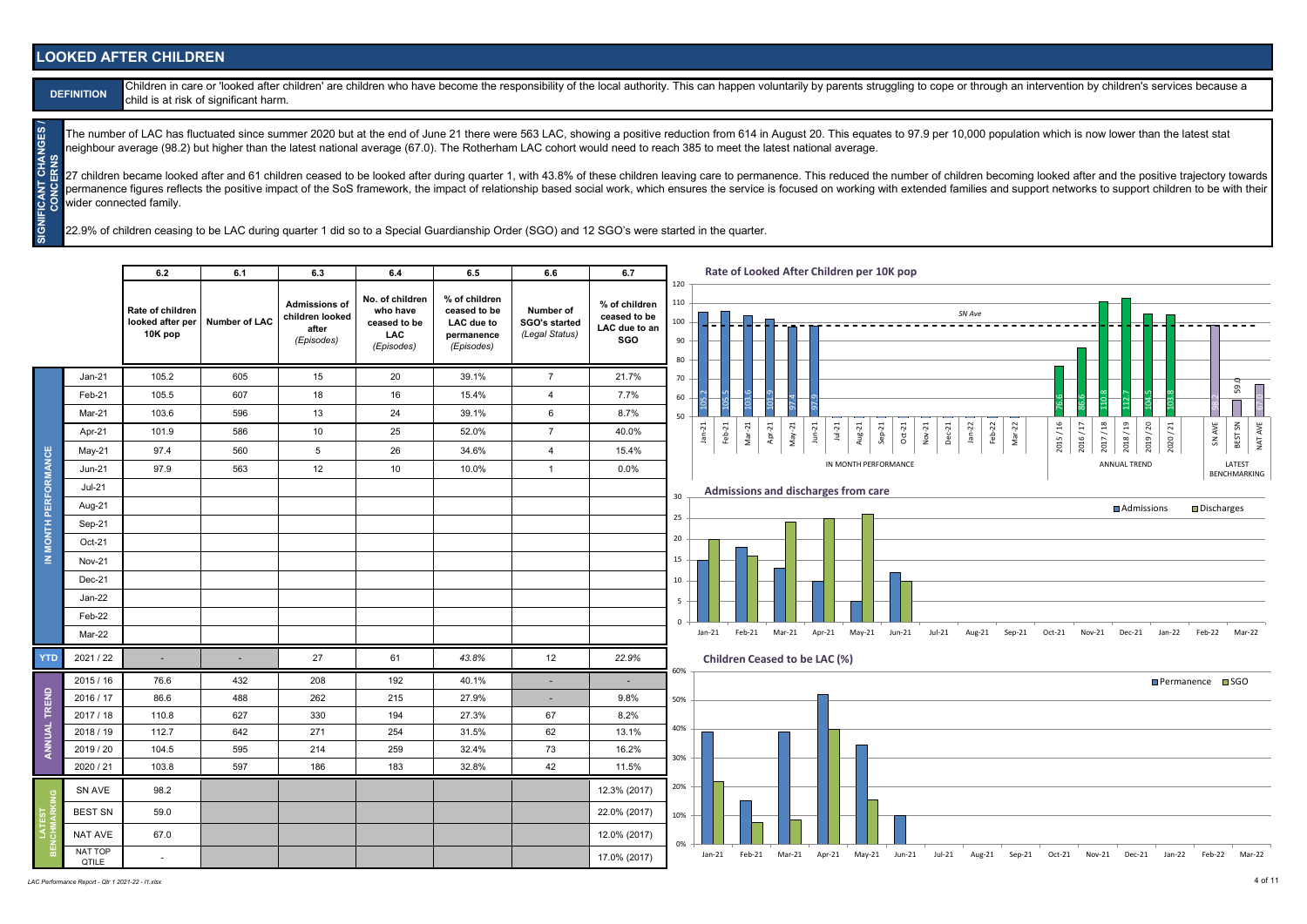#### **LOOKED AFTER CHILDREN**

| <b>DEFIN</b> |  |
|--------------|--|
|              |  |

**CANT CHANGES** 

Children in care or 'looked after children' are children who have become the responsibility of the local authority. This can happen voluntarily by parents struggling to cope or through an intervention by children's service child is at risk of significant harm.

The number of LAC has fluctuated since summer 2020 but at the end of June 21 there were 563 LAC, showing a positive reduction from 614 in August 20. This equates to 97.9 per 10,000 population which is now lower than the la neighbour average (98.2) but higher than the latest national average (67.0). The Rotherham LAC cohort would need to reach 385 to meet the latest national average.

**SIGNIFICANT CHANGES / CONCERNS** CERNS 27 children became looked after and 61 children ceased to be looked after during quarter 1 with 43.8% of these children leaving care to permanence. This reduced the number of children becoming looked after and the positive permanence figures reflects the positive impact of the SoS framework, the impact of relationship based social work, which ensures the service is focused on working with extended families and support networks to support chi wider connected family.

22.9% of children ceasing to be LAC during quarter 1 did so to a Special Guardianship Order (SGO) and 12 SGO's were started in the quarter.

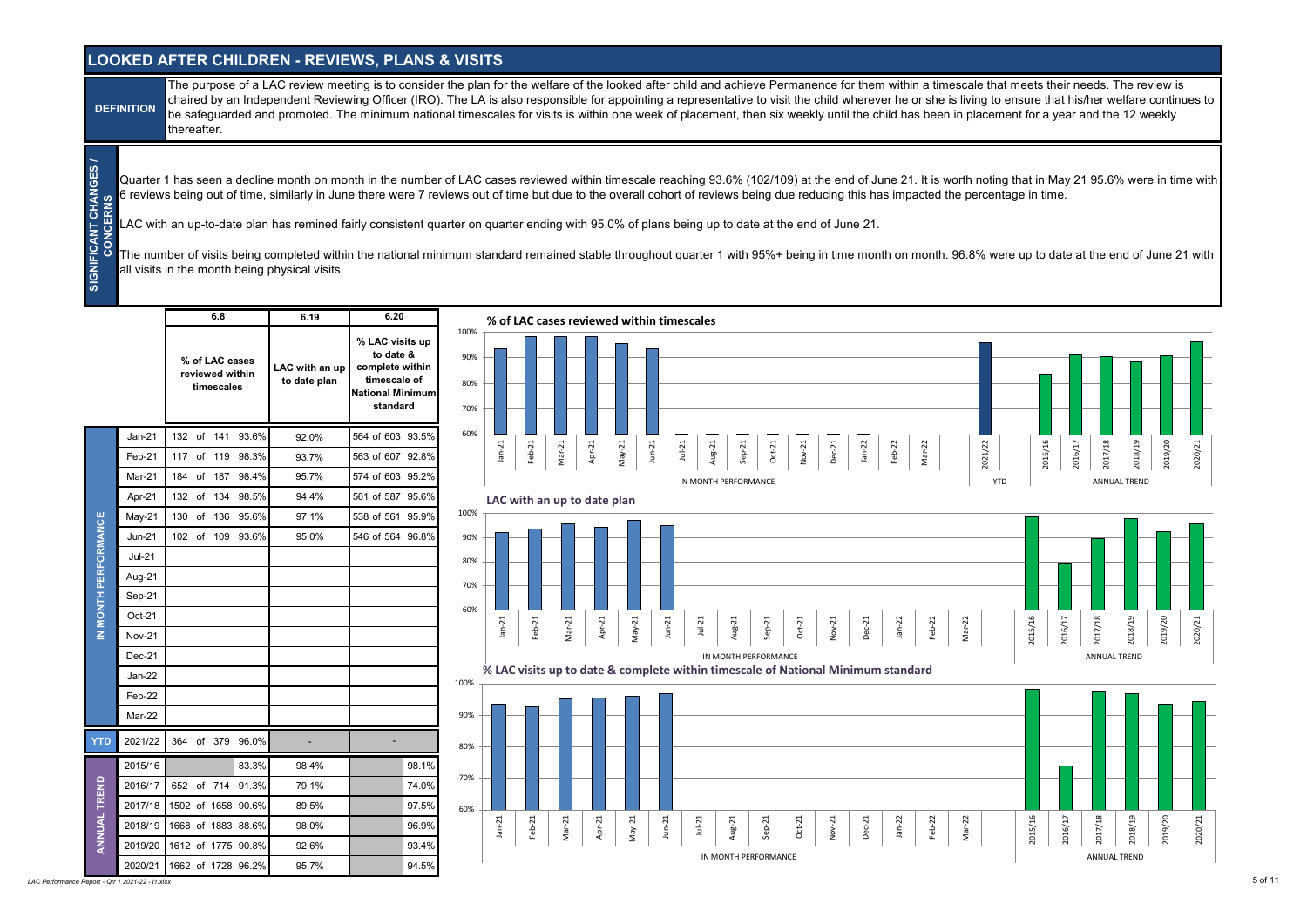#### **LOOKED AFTER CHILDREN - REVIEWS, PLANS & VISITS**

The purpose of a LAC review meeting is to consider the plan for the welfare of the looked after child and achieve Permanence for them within a timescale that meets their needs. The review is chaired by an Independent Reviewing Officer (IRO). The LA is also responsible for appointing a representative to visit the child wherever he or she is living to ensure that his/her welfare continues to be safeguarded and promoted. The minimum national timescales for visits is within one week of placement, then six weekly until the child has been in placement for a year and the 12 weekly thereafter. **DEFINITION**

Quarter 1 has seen a decline month on month in the number of LAC cases reviewed within timescale reaching 93.6% (102/109) at the end of June 21. It is worth noting that in May 21 95.6% were in time with 6 reviews being out of time, similarly in June there were 7 reviews out of time but due to the overall cohort of reviews being due reducing this has impacted the percentage in time.

LAC with an up-to-date plan has remined fairly consistent quarter on quarter ending with 95.0% of plans being up to date at the end of June 21.

The number of visits being completed within the national minimum standard remained stable throughout quarter 1 with 95%+ being in time month on month. 96.8% were up to date at the end of June 21 with all visits in the month being physical visits.

|                      |               | 6.8                                             | 6.19                           | 6.20                                                                                                   |                           |          |          |          |                             |          |          |          |              | % of LAC cases reviewed within timescales |        |          |                      |                                                                                  |          |          |          |          |          |            |         |         |         |                     |         |         |         |
|----------------------|---------------|-------------------------------------------------|--------------------------------|--------------------------------------------------------------------------------------------------------|---------------------------|----------|----------|----------|-----------------------------|----------|----------|----------|--------------|-------------------------------------------|--------|----------|----------------------|----------------------------------------------------------------------------------|----------|----------|----------|----------|----------|------------|---------|---------|---------|---------------------|---------|---------|---------|
|                      |               | % of LAC cases<br>reviewed within<br>timescales | LAC with an up<br>to date plan | % LAC visits up<br>to date &<br>complete within<br>timescale of<br><b>National Minimum</b><br>standard | 100%<br>90%<br>80%<br>70% |          |          |          |                             |          |          |          |              |                                           |        |          |                      |                                                                                  |          |          |          |          |          |            |         |         |         |                     |         |         |         |
|                      | $Jan-21$      | 132 of 141                                      | 93.6%<br>92.0%                 | 564 of 603 93.5%                                                                                       | 60%                       |          |          |          |                             |          |          |          |              |                                           |        |          |                      |                                                                                  |          |          |          |          |          |            |         |         |         |                     |         |         |         |
|                      | Feb-21        | 117 of 119                                      | 98.3%<br>93.7%                 | 563 of 607 92.8%                                                                                       |                           | $Jan-21$ | $Feb-21$ | $Mar-21$ | Apr-21                      | $May-21$ |          | $Jun-21$ |              | $Jul-21$                                  | Aug-21 | $Sep-21$ | $Oct-21$             | $Nov-21$                                                                         | $Dec-21$ | $Jan-22$ | Feb-22   | $Mar-22$ |          | 2021/22    | 2015/16 | 2016/17 | 2017/18 | 2018/19             |         | 2019/20 | 2020/21 |
|                      | Mar-21        | 184 of 187                                      | 98.4%<br>95.7%                 | 574 of 603 95.2%                                                                                       |                           |          |          |          |                             |          |          |          |              | IN MONTH PERFORMANCE                      |        |          |                      |                                                                                  |          |          |          |          |          | <b>YTD</b> |         |         |         | ANNUAL TREND        |         |         |         |
|                      | Apr-21        | 132 of 134                                      | 98.5%<br>94.4%                 | 561 of 587 95.6%                                                                                       |                           |          |          |          | LAC with an up to date plan |          |          |          |              |                                           |        |          |                      |                                                                                  |          |          |          |          |          |            |         |         |         |                     |         |         |         |
|                      | May-21        | 130 of 136                                      | 95.6%<br>97.1%                 | 538 of 561 95.9%                                                                                       | 100%                      |          |          |          |                             |          |          |          |              |                                           |        |          |                      |                                                                                  |          |          |          |          |          |            |         |         |         |                     |         |         |         |
|                      | $Jun-21$      | 102 of 109                                      | 93.6%<br>95.0%                 | 546 of 564 96.8%                                                                                       | 90%                       |          |          |          |                             |          |          |          |              |                                           |        |          |                      |                                                                                  |          |          |          |          |          |            |         |         |         |                     |         |         |         |
|                      | $Jul-21$      |                                                 |                                |                                                                                                        | 80%                       |          |          |          |                             |          |          |          |              |                                           |        |          |                      |                                                                                  |          |          |          |          |          |            |         |         |         |                     |         |         |         |
|                      | Aug-21        |                                                 |                                |                                                                                                        | 70%                       |          |          |          |                             |          |          |          |              |                                           |        |          |                      |                                                                                  |          |          |          |          |          |            |         |         |         |                     |         |         |         |
|                      | Sep-21        |                                                 |                                |                                                                                                        |                           |          |          |          |                             |          |          |          |              |                                           |        |          |                      |                                                                                  |          |          |          |          |          |            |         |         |         |                     |         |         |         |
| IN MONTH PERFORMANCE | $Oct-21$      |                                                 |                                |                                                                                                        | 60%                       | $Jan-21$ | $Feb-21$ |          |                             | Apr-21   |          |          | $Jun-21$     | $Jul-21$                                  |        |          |                      |                                                                                  |          |          | $Jan-22$ |          |          |            |         |         |         |                     |         |         |         |
|                      | <b>Nov-21</b> |                                                 |                                |                                                                                                        |                           |          |          | $Mar-21$ |                             |          | $May-21$ |          |              |                                           | Aug-21 |          | $Sep-21$             | $Oct-21$                                                                         | Nov-21   | Dec-21   |          | $Feb-22$ | $Mar-22$ |            | 2015/16 | 2016/17 | 2017/18 | 2018/19             | 2019/20 |         | 2020/21 |
|                      | Dec-21        |                                                 |                                |                                                                                                        |                           |          |          |          |                             |          |          |          |              |                                           |        |          | IN MONTH PERFORMANCE |                                                                                  |          |          |          |          |          |            |         |         |         | <b>ANNUAL TREND</b> |         |         |         |
|                      | Jan-22        |                                                 |                                |                                                                                                        | 100%                      |          |          |          |                             |          |          |          |              |                                           |        |          |                      | % LAC visits up to date & complete within timescale of National Minimum standard |          |          |          |          |          |            |         |         |         |                     |         |         |         |
|                      | Feb-22        |                                                 |                                |                                                                                                        |                           |          |          |          |                             |          |          |          |              |                                           |        |          |                      |                                                                                  |          |          |          |          |          |            |         |         |         |                     |         |         |         |
|                      | Mar-22        |                                                 |                                |                                                                                                        | 90%                       |          |          |          |                             |          |          |          |              |                                           |        |          |                      |                                                                                  |          |          |          |          |          |            |         |         |         |                     |         |         |         |
| <b>YTD</b>           | 2021/22       | 364 of 379                                      | 96.0%                          |                                                                                                        | 80%                       |          |          |          |                             |          |          |          |              |                                           |        |          |                      |                                                                                  |          |          |          |          |          |            |         |         |         |                     |         |         |         |
|                      | 2015/16       |                                                 | 83.3%<br>98.4%                 | 98.1%                                                                                                  |                           |          |          |          |                             |          |          |          |              |                                           |        |          |                      |                                                                                  |          |          |          |          |          |            |         |         |         |                     |         |         |         |
|                      | 2016/17       | 652 of 714                                      | 91.3%<br>79.1%                 | 74.0%                                                                                                  | 70%                       |          |          |          |                             |          |          |          |              |                                           |        |          |                      |                                                                                  |          |          |          |          |          |            |         |         |         |                     |         |         |         |
|                      | 2017/18       | 1502 of 1658 90.6%                              | 89.5%                          | 97.5%                                                                                                  | 60%                       |          |          |          |                             |          |          |          |              |                                           |        |          |                      |                                                                                  |          |          |          |          |          |            |         |         |         |                     |         |         |         |
| ANNUAL TREND         | 2018/19       | 1668 of 1883 88.6%                              | 98.0%                          | 96.9%                                                                                                  |                           | $Jan-21$ | Feb-21   | $Mar-21$ | Apr-21                      |          | $May-21$ |          | $J$ un- $21$ | $Jul-21$                                  | Aug-21 |          | $Sep-21$             | $Oct-21$                                                                         | Nov-21   | $Dec-21$ | $Jan-22$ | $Feb-22$ | $Mar-22$ |            | 2015/16 | 2016/17 | 2017/18 | 2018/19             | 2019/20 |         | 2020/21 |
|                      | 2019/20       | 1612 of 1775 90.8%                              | 92.6%                          | 93.4%                                                                                                  |                           |          |          |          |                             |          |          |          |              |                                           |        |          |                      |                                                                                  |          |          |          |          |          |            |         |         |         |                     |         |         |         |
|                      | 2020/21       | 1662 of 1728 96.2%                              | 95.7%                          | 94.5%                                                                                                  |                           |          |          |          |                             |          |          |          |              |                                           |        |          | IN MONTH PERFORMANCE |                                                                                  |          |          |          |          |          |            |         |         |         | ANNUAL TREND        |         |         |         |

*LAC Performance Report - Qtr 1 2021-22 - I1.xlsx* 5 of 11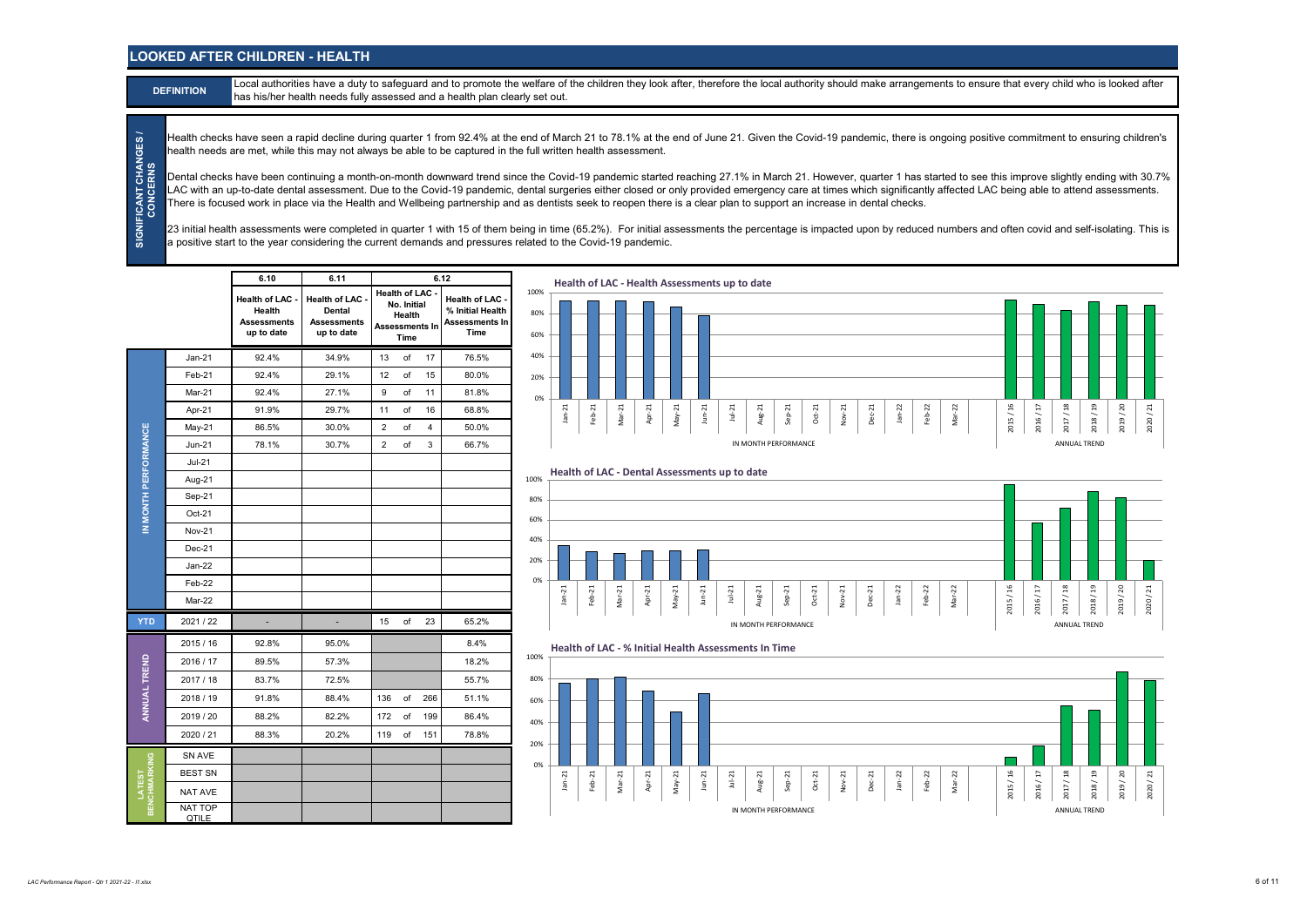#### **LOOKED AFTER CHILDREN - HEALTH**

Local authorities have a duty to safeguard and to promote the welfare of the children they look after, therefore the local authority should make arrangements to ensure that every child who is looked after has his/her health needs fully assessed and a health plan clearly set out.

Health checks have seen a rapid decline during quarter 1 from 92.4% at the end of March 21 to 78.1% at the end of June 21. Given the Covid-19 pandemic, there is ongoing positive commitment to ensuring children's health needs are met, while this may not always be able to be captured in the full written health assessment.

Dental checks have been continuing a month-on-month downward trend since the Covid-19 pandemic started reaching 27.1% in March 21. However, quarter 1 has started to see this improve slightly ending with 30.7% LAC with an up-to-date dental assessment. Due to the Covid-19 pandemic, dental surgeries either closed or only provided emergency care at times which significantly affected LAC being able to attend assessments. There is focused work in place via the Health and Wellbeing partnership and as dentists seek to reopen there is a clear plan to support an increase in dental checks.

23 initial health assessments were completed in quarter 1 with 15 of them being in time (65.2%). For initial assessments the percentage is impacted upon by reduced numbers and often covid and self-isolating. This is a positive start to the year considering the current demands and pressures related to the Covid-19 pandemic.

|                   |                         | 6.10                                                               | 6.11                                                               |                                                                    | 6.12                                                                      | Health of LAC - Health Assessments up to date                                                                                                                                       |                                                                                                |
|-------------------|-------------------------|--------------------------------------------------------------------|--------------------------------------------------------------------|--------------------------------------------------------------------|---------------------------------------------------------------------------|-------------------------------------------------------------------------------------------------------------------------------------------------------------------------------------|------------------------------------------------------------------------------------------------|
|                   |                         | <b>Health of LAC</b><br>Health<br><b>Assessments</b><br>up to date | <b>Health of LAC</b><br>Dental<br><b>Assessments</b><br>up to date | Health of LAC -<br>No. Initial<br>Health<br>Assessments In<br>Time | <b>Health of LAC</b><br>% Initial Health<br><b>Assessments In</b><br>Time | 100%<br>80%<br>60%                                                                                                                                                                  |                                                                                                |
|                   | $Jan-21$                | 92.4%                                                              | 34.9%                                                              | $13$ of<br>17                                                      | 76.5%                                                                     | 40%                                                                                                                                                                                 |                                                                                                |
|                   | Feb-21                  | 92.4%                                                              | 29.1%                                                              | of<br>12<br>15                                                     | 80.0%                                                                     | 20%                                                                                                                                                                                 |                                                                                                |
|                   | Mar-21                  | 92.4%                                                              | 27.1%                                                              | of<br>9<br>11                                                      | 81.8%                                                                     | 0%                                                                                                                                                                                  |                                                                                                |
|                   | Apr-21                  | 91.9%                                                              | 29.7%                                                              | of<br>16<br>11                                                     | 68.8%                                                                     | $Mar-21$<br>Apr-21<br>$May-21$<br>$J$ un- $21$<br>$Jan-21$<br>Feb-21<br>$Jul-21$<br>Aug-21<br>$_{\rm Oct-21}$<br>$Jan-22$<br>$Feb-22$<br>$Mar-22$<br>$Sep-21$<br>Nov-21<br>$Dec-21$ | $2015/\sqrt{16}$<br>2017/18<br>2018/19<br>2019/20<br>$2016\,/\,17$<br>2020/21                  |
|                   | $May-21$                | 86.5%                                                              | 30.0%                                                              | of<br>$\overline{2}$<br>$\overline{4}$                             | 50.0%                                                                     |                                                                                                                                                                                     |                                                                                                |
| ORMANCE           | Jun-21                  | 78.1%                                                              | 30.7%                                                              | of<br>$\overline{2}$<br>$\mathbf{3}$                               | 66.7%                                                                     | IN MONTH PERFORMANCE                                                                                                                                                                | ANNUAL TREND                                                                                   |
|                   | $Jul-21$                |                                                                    |                                                                    |                                                                    |                                                                           |                                                                                                                                                                                     |                                                                                                |
|                   | Aug-21                  |                                                                    |                                                                    |                                                                    |                                                                           | Health of LAC - Dental Assessments up to date<br>100%                                                                                                                               |                                                                                                |
| <b>MONTH PERF</b> | Sep-21                  |                                                                    |                                                                    |                                                                    |                                                                           | 80%                                                                                                                                                                                 |                                                                                                |
|                   | Oct-21                  |                                                                    |                                                                    |                                                                    |                                                                           | 60%                                                                                                                                                                                 |                                                                                                |
| $\Xi$             | <b>Nov-21</b>           |                                                                    |                                                                    |                                                                    |                                                                           | 40%                                                                                                                                                                                 |                                                                                                |
|                   | $Dec-21$                |                                                                    |                                                                    |                                                                    |                                                                           |                                                                                                                                                                                     |                                                                                                |
|                   | $Jan-22$                |                                                                    |                                                                    |                                                                    |                                                                           | 20%                                                                                                                                                                                 |                                                                                                |
|                   | Feb-22                  |                                                                    |                                                                    |                                                                    |                                                                           | 0%                                                                                                                                                                                  |                                                                                                |
|                   | Mar-22                  |                                                                    |                                                                    |                                                                    |                                                                           | $Feb-21$<br>$Mar-21$<br>Apr-21<br>$May-21$<br>$J$ un- $21$<br>$Jul-21$<br>Aug-21<br>$Jan-22$<br>$Mar-22$<br>$Jan-21$<br>$Sep-21$<br>$Oct-21$<br>$Nov-21$<br>$Dec-21$<br>Feb-22      | $2017\,/\,18$<br>2015 / 16<br>$2016\,/\,17$<br>$2018\,/\,19$<br>2019 / 20<br>$2020$ / $21\,$   |
| <b>YTD</b>        | 2021 / 22               |                                                                    |                                                                    | 23<br>$15$ of                                                      | 65.2%                                                                     | IN MONTH PERFORMANCE                                                                                                                                                                | ANNUAL TREND                                                                                   |
|                   | 2015/16                 | 92.8%                                                              | 95.0%                                                              |                                                                    | 8.4%                                                                      | Health of LAC - % Initial Health Assessments In Time                                                                                                                                |                                                                                                |
| TREND             | 2016 / 17               | 89.5%                                                              | 57.3%                                                              |                                                                    | 18.2%                                                                     | 100%                                                                                                                                                                                |                                                                                                |
|                   | 2017 / 18               | 83.7%                                                              | 72.5%                                                              |                                                                    | 55.7%                                                                     | 80%                                                                                                                                                                                 |                                                                                                |
| ANNUAL'           | 2018 / 19               | 91.8%                                                              | 88.4%                                                              | 136 of<br>266                                                      | 51.1%                                                                     | 60%                                                                                                                                                                                 |                                                                                                |
|                   | 2019 / 20               | 88.2%                                                              | 82.2%                                                              | 172 of<br>199                                                      | 86.4%                                                                     | 40%                                                                                                                                                                                 |                                                                                                |
|                   | 2020 / 21               | 88.3%                                                              | 20.2%                                                              | 119 of<br>151                                                      | 78.8%                                                                     |                                                                                                                                                                                     |                                                                                                |
|                   | SN AVE                  |                                                                    |                                                                    |                                                                    |                                                                           | 20%                                                                                                                                                                                 |                                                                                                |
|                   | <b>BEST SN</b>          |                                                                    |                                                                    |                                                                    |                                                                           | 0%<br>$Jul-21$                                                                                                                                                                      |                                                                                                |
| <b>LATEST</b>     | NAT AVE                 |                                                                    |                                                                    |                                                                    |                                                                           | $Feb-21$<br>$Mar-21$<br>Apr-21<br>$May-21$<br>$J$ un- $21$<br>$Jan-21$<br>Aug-21<br>$Sep-21$<br>$Oct-21$<br>$Jan-22$<br>$Feb-22$<br>$Mar-22$<br>Nov-21<br>$Dec-21$                  | $2015\,/\,16$<br>$2017\,/\,18$<br>$2018\,/\,19$<br>2019/20<br>$2016$ / $17\,$<br>$2020\,/\,21$ |
|                   | NAT TOP<br><b>QTILE</b> |                                                                    |                                                                    |                                                                    |                                                                           | IN MONTH PERFORMANCE                                                                                                                                                                | ANNUAL TREND                                                                                   |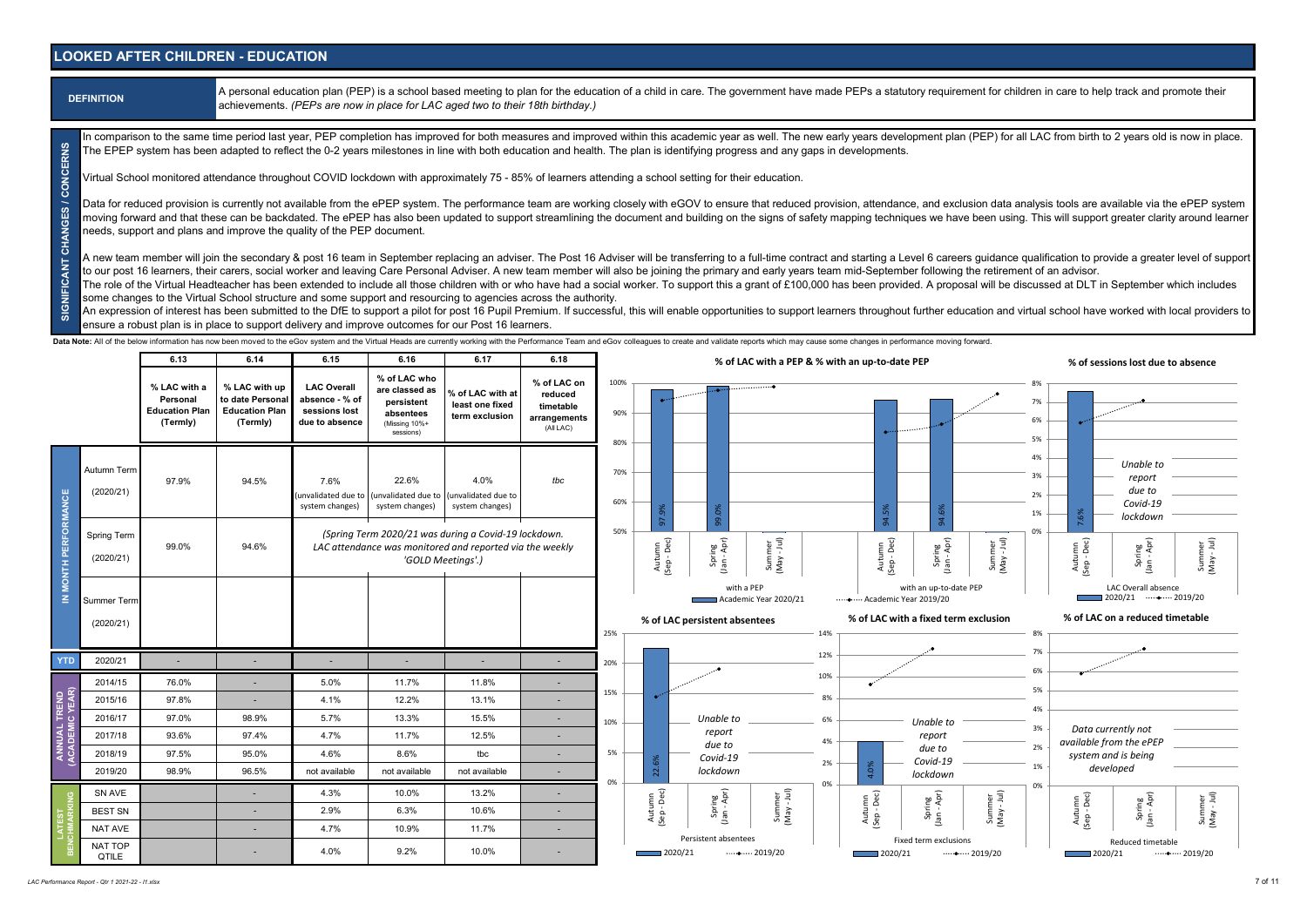#### **LOOKED AFTER CHILDREN - EDUCATION**

A personal education plan (PEP) is a school based meeting to plan for the education of a child in care. The government have made PEPs a statutory requirement for children in care to help track and promote their achievements. *(PEPs are now in place for LAC aged two to their 18th birthday.)*

in comparison to the same time period last year, PEP completion has improved for both measures and improved within this academic year as well. The new early years development plan (PEP) for all LAC from birth to 2 years ol The EPEP system has been adapted to reflect the 0-2 years milestones in line with both education and health. The plan is identifying progress and any gaps in developments.

Virtual School monitored attendance throughout COVID lockdown with approximately 75 - 85% of learners attending a school setting for their education.

SIGNIFICANT CHANGES / CONCERNS **SIGNIFICANT CHANGES / CONCERNS** Data for reduced provision is currently not available from the ePEP system. The performance team are working closely with eGOV to ensure that reduced provision, attendance, and exclusion data analysis tools are available v moving forward and that these can be backdated. The ePEP has also been updated to support streamlining the document and building on the signs of safety mapping techniques we have been using. This will support greater clari needs, support and plans and improve the quality of the PEP document.

A new team member will join the secondary & post 16 team in September replacing an adviser. The Post 16 Adviser will be transferring to a full-time contract and starting a Level 6 careers quidance qualification to provide to our post 16 learners, their carers, social worker and leaving Care Personal Adviser. A new team member will also be joining the primary and early years team mid-September following the retirement of an advisor.

The role of the Virtual Headteacher has been extended to include all those children with or who have had a social worker. To support this a grant of £100,000 has been provided. A proposal will be discussed at DLT in Septem some changes to the Virtual School structure and some support and resourcing to agencies across the authority.

An expression of interest has been submitted to the DfE to support a pilot for post 16 Pupil Premium. If successful, this will enable opportunities to support learners throughout further education and virtual school have w ensure a robust plan is in place to support delivery and improve outcomes for our Post 16 learners.

Data Note: All of the below information has now been moved to the eGov system and the Virtual Heads are currently working with the Performance Team and eGov colleagues to create and validate reports which may cause some ch

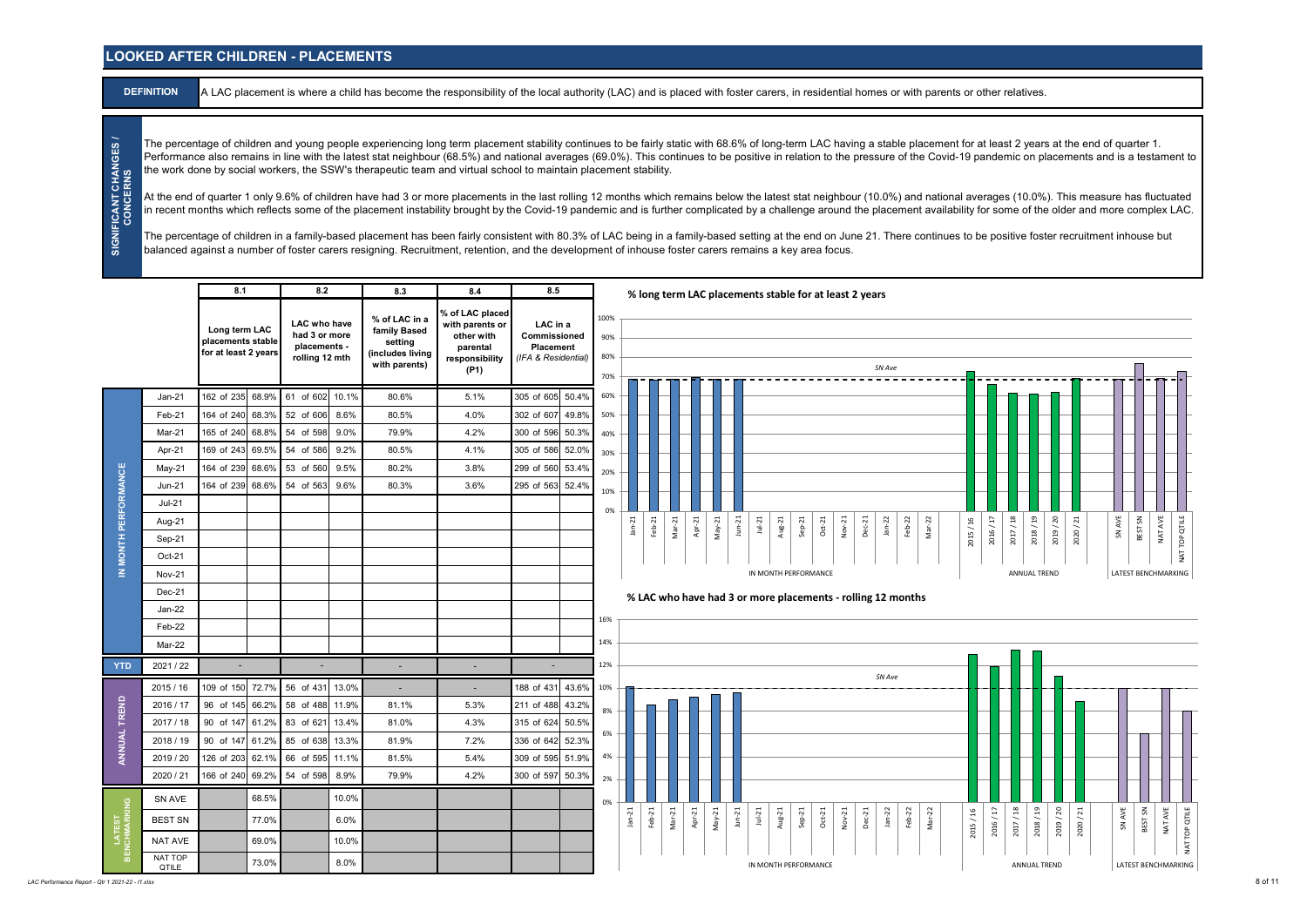#### **LOOKED AFTER CHILDREN - PLACEMENTS**

**DEFINITION** A LAC placement is where a child has become the responsibility of the local authority (LAC) and is placed with foster carers, in residential homes or with parents or other relatives.

The percentage of children and young people experiencing long term placement stability continues to be fairly static with 68.6% of long-term LAC having a stable placement for at least 2 years at the end of quarter 1. Performance also remains in line with the latest stat neighbour (68.5%) and national averages (69.0%). This continues to be positive in relation to the pressure of the Covid-19 pandemic on placements and is a testament to the work done by social workers, the SSW's therapeutic team and virtual school to maintain placement stability.

At the end of quarter 1 only 9.6% of children have had 3 or more placements in the last rolling 12 months which remains below the latest stat neighbour (10.0%) and national averages (10.0%). This measure has fluctuated in recent months which reflects some of the placement instability brought by the Covid-19 pandemic and is further complicated by a challenge around the placement availability for some of the older and more complex LAC.

The percentage of children in a family-based placement has been fairly consistent with 80.3% of LAC being in a family-based setting at the end on June 21. There continues to be positive foster recruitment inhouse but balanced against a number of foster carers resigning. Recruitment, retention, and the development of inhouse foster carers remains a key area focus.

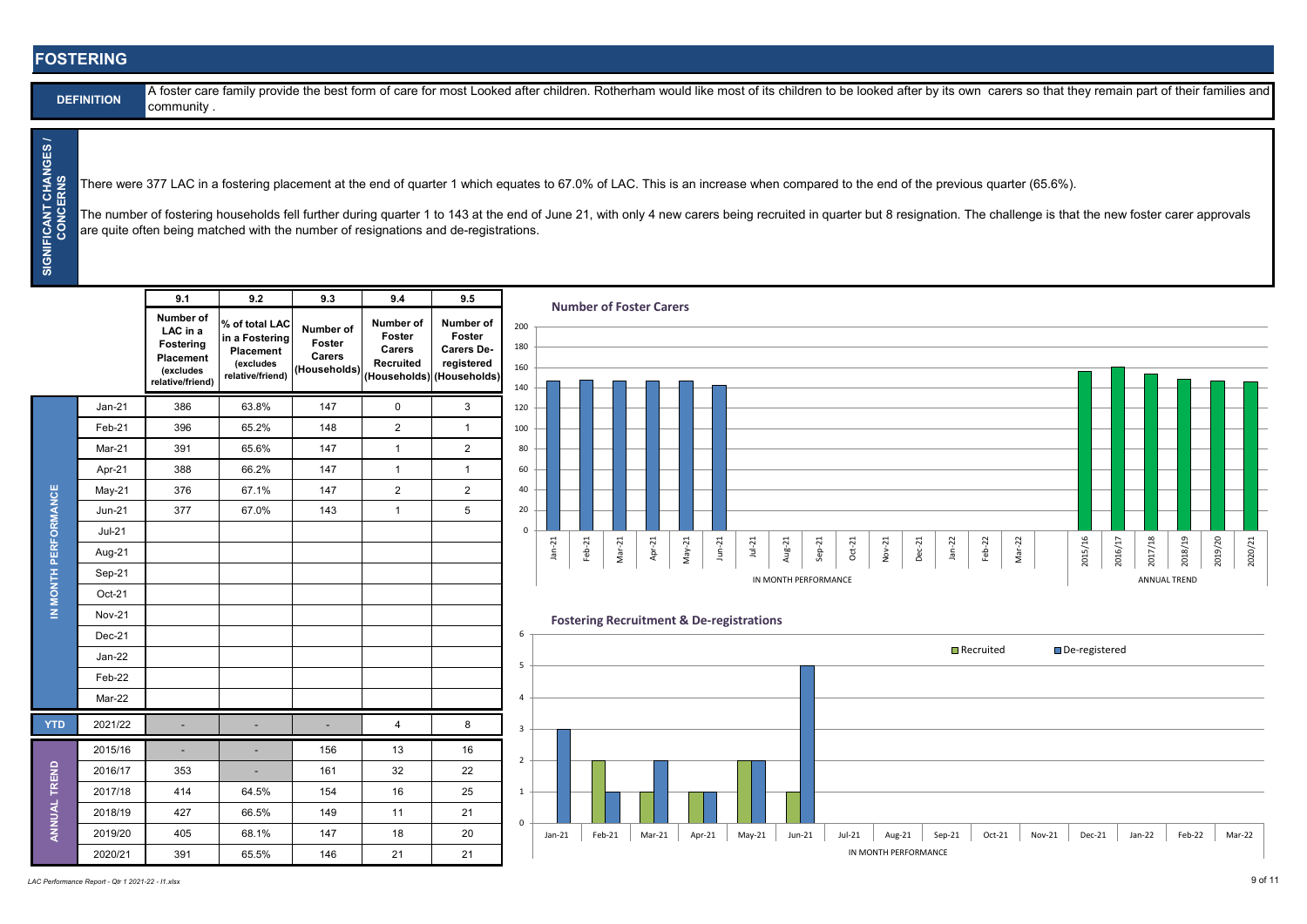#### **FOSTERING**

| <b>DEFINITION</b> |  |
|-------------------|--|
|                   |  |

A foster care family provide the best form of care for most Looked after children. Rotherham would like most of its children to be looked after by its own carers so that they remain part of their families and community .

**SIGNIFICANT CHANGES / CONCERNS** SIGNIFICANT CHANGES CONCERNS

There were 377 LAC in a fostering placement at the end of quarter 1 which equates to 67.0% of LAC. This is an increase when compared to the end of the previous quarter (65.6%).

The number of fostering households fell further during quarter 1 to 143 at the end of June 21, with only 4 new carers being recruited in quarter but 8 resignation. The challenge is that the new foster carer approvals are quite often being matched with the number of resignations and de-registrations.

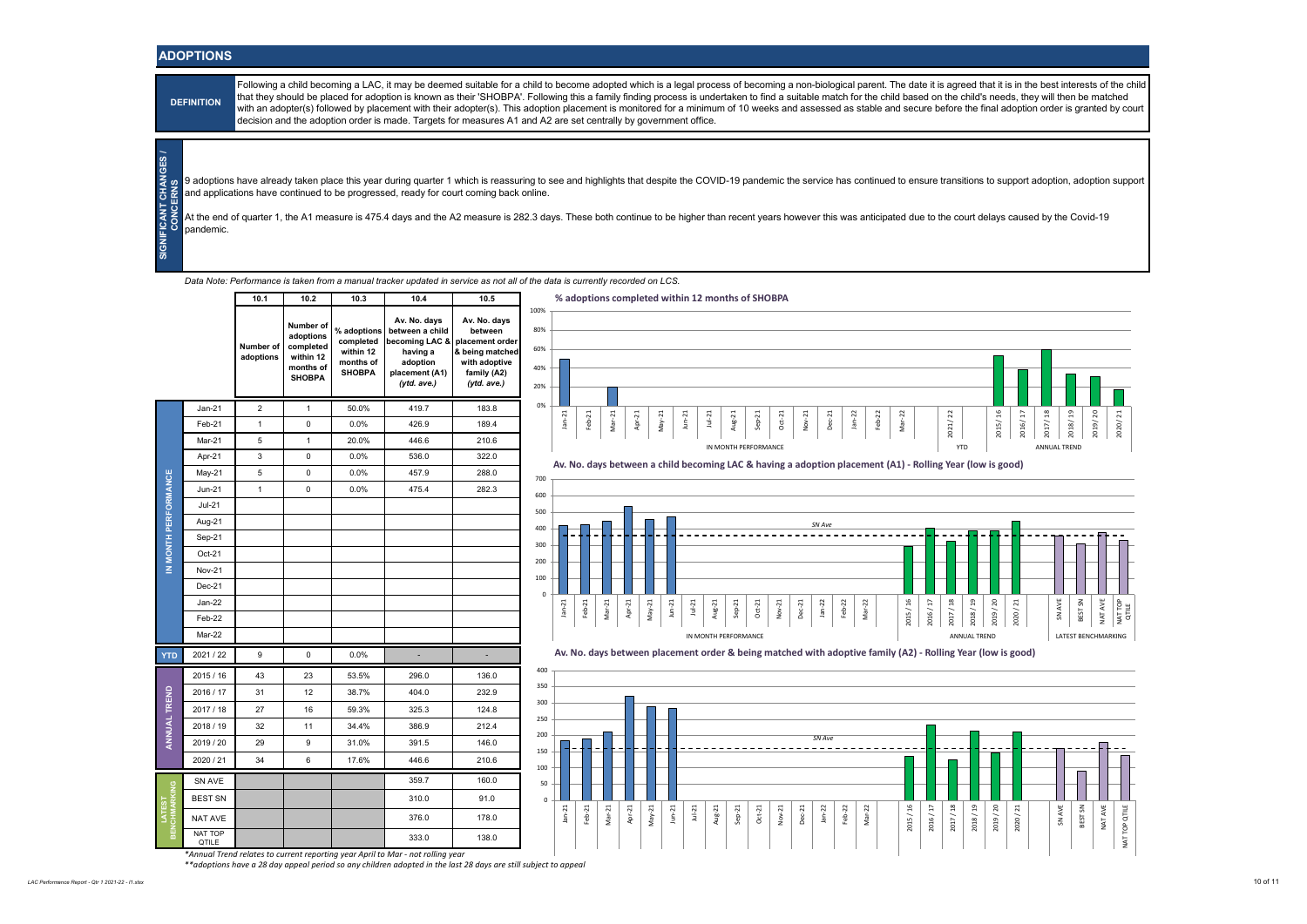#### **ADOPTIONS**

**DEFINITION** 

**SIGNIFICANT CHANGES / CONCERNS**

Following a child becoming a LAC, it may be deemed suitable for a child to become adopted which is a legal process of becoming a non-biological parent. The date it is agreed that it is in the best interests of the child that they should be placed for adoption is known as their 'SHOBPA'. Following this a family finding process is undertaken to find a suitable match for the child based on the child's needs, they will then be matched with an adopter(s) followed by placement with their adopter(s). This adoption placement is monitored for a minimum of 10 weeks and assessed as stable and secure before the final adoption order is granted by court decision and the adoption order is made. Targets for measures A1 and A2 are set centrally by government office.

9 adoptions have already taken place this year during quarter 1 which is reassuring to see and highlights that despite the COVID-19 pandemic the service has continued to ensure transitions to support adoption, adoption sup and applications have continued to be progressed, ready for court coming back online.

At the end of quarter 1, the A1 measure is 475.4 days and the A2 measure is 282.3 days. These both continue to be higher than recent years however this was anticipated due to the court delays caused by the Covid-19 pandemic.

*Data Note: Performance is taken from a manual tracker updated in service as not all of the data is currently recorded on LCS.*



*\*Annual Trend relates to current reporting year April to Mar - not rolling year \*\*adoptions have a 28 day appeal period so any children adopted in the last 28 days are still subject to appeal*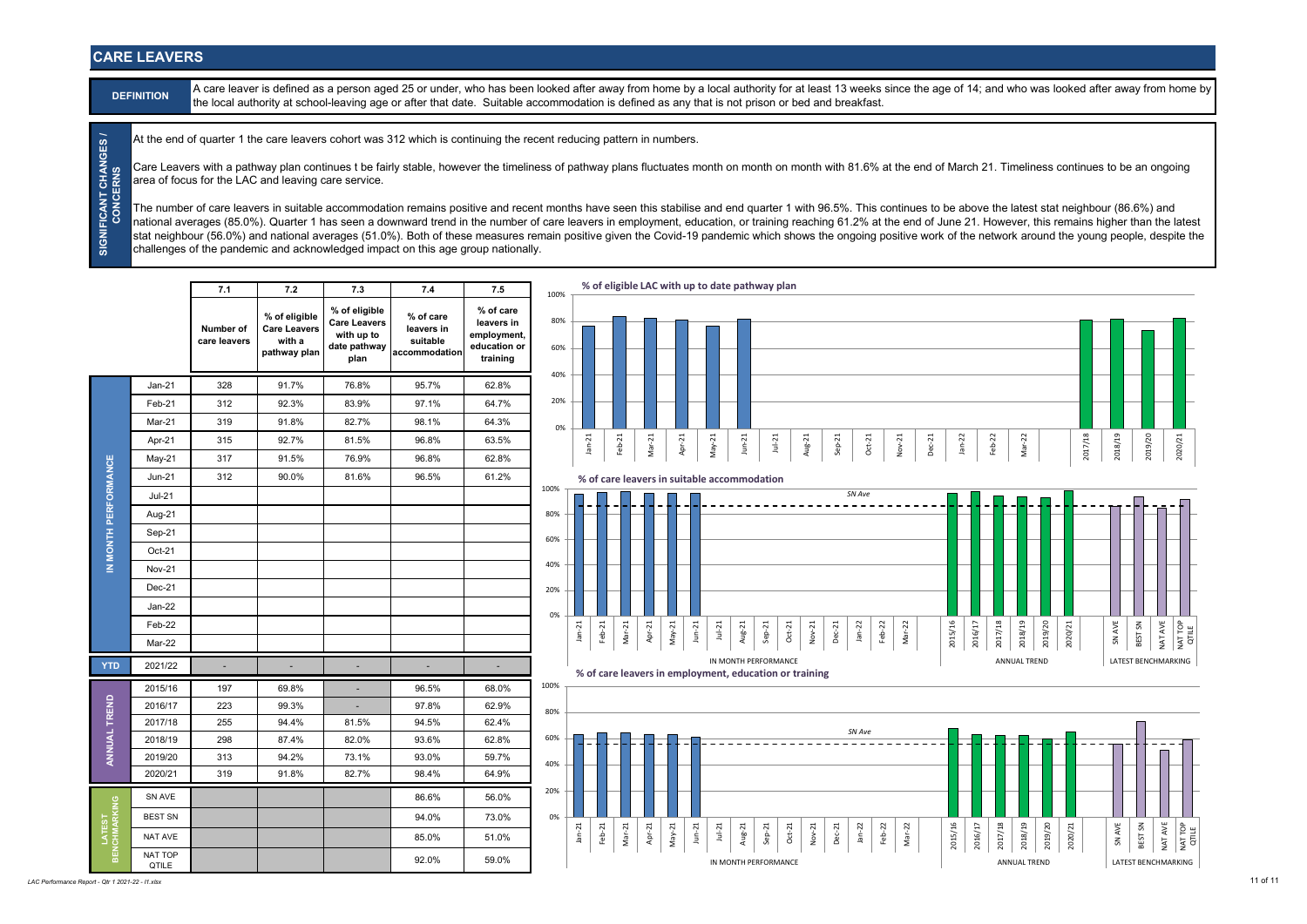#### **CARE LEAVERS**

**DEFINITION** A care leaver is defined as a person aged 25 or under, who has been looked after away from home by a local authority for at least 13 weeks since the age of 14; and who was looked after away from home by the local authority at school-leaving age or after that date. Suitable accommodation is defined as any that is not prison or bed and breakfast.

At the end of quarter 1 the care leavers cohort was 312 which is continuing the recent reducing pattern in numbers.

Care Leavers with a pathway plan continues t be fairly stable, however the timeliness of pathway plans fluctuates month on month on month with 81.6% at the end of March 21. Timeliness continues to be an ongoing area of focus for the LAC and leaving care service.

**SIGNIFICANT CHANGES /<br>CONCERNS SIGNIFICANT CHANGES / CONCERNS** The number of care leavers in suitable accommodation remains positive and recent months have seen this stabilise and end quarter 1 with 96.5%. This continues to be above the latest stat neighbour (86.6%) and national averages (85.0%). Quarter 1 has seen a downward trend in the number of care leavers in employment, education, or training reaching 61.2% at the end of June 21. However, this remains higher than the latest stat neighbour (56.0%) and national averages (51.0%). Both of these measures remain positive given the Covid-19 pandemic which shows the ongoing positive work of the network around the young people, despite the challenges of the pandemic and acknowledged impact on this age group nationally.